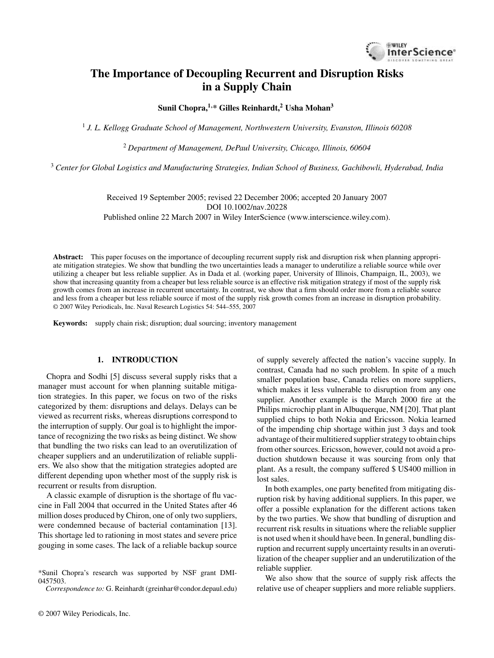

# **The Importance of Decoupling Recurrent and Disruption Risks in a Supply Chain**

**Sunil Chopra,1,\* Gilles Reinhardt,<sup>2</sup> Usha Mohan<sup>3</sup>**

1 *J. L. Kellogg Graduate School of Management, Northwestern University, Evanston, Illinois 60208*

<sup>2</sup> *Department of Management, DePaul University, Chicago, Illinois, 60604*

<sup>3</sup> *Center for Global Logistics and Manufacturing Strategies, Indian School of Business, Gachibowli, Hyderabad, India*

Received 19 September 2005; revised 22 December 2006; accepted 20 January 2007 DOI 10.1002/nav.20228 Published online 22 March 2007 in Wiley InterScience (www.interscience.wiley.com).

**Abstract:** This paper focuses on the importance of decoupling recurrent supply risk and disruption risk when planning appropriate mitigation strategies. We show that bundling the two uncertainties leads a manager to underutilize a reliable source while over utilizing a cheaper but less reliable supplier. As in Dada et al. (working paper, University of Illinois, Champaign, IL, 2003), we show that increasing quantity from a cheaper but less reliable source is an effective risk mitigation strategy if most of the supply risk growth comes from an increase in recurrent uncertainty. In contrast, we show that a firm should order more from a reliable source and less from a cheaper but less reliable source if most of the supply risk growth comes from an increase in disruption probability. © 2007 Wiley Periodicals, Inc. Naval Research Logistics 54: 544–555, 2007

**Keywords:** supply chain risk; disruption; dual sourcing; inventory management

### **1. INTRODUCTION**

Chopra and Sodhi [5] discuss several supply risks that a manager must account for when planning suitable mitigation strategies. In this paper, we focus on two of the risks categorized by them: disruptions and delays. Delays can be viewed as recurrent risks, whereas disruptions correspond to the interruption of supply. Our goal is to highlight the importance of recognizing the two risks as being distinct. We show that bundling the two risks can lead to an overutilization of cheaper suppliers and an underutilization of reliable suppliers. We also show that the mitigation strategies adopted are different depending upon whether most of the supply risk is recurrent or results from disruption.

A classic example of disruption is the shortage of flu vaccine in Fall 2004 that occurred in the United States after 46 million doses produced by Chiron, one of only two suppliers, were condemned because of bacterial contamination [13]. This shortage led to rationing in most states and severe price gouging in some cases. The lack of a reliable backup source

*Correspondence to:* G. Reinhardt (greinhar@condor.depaul.edu)

of supply severely affected the nation's vaccine supply. In contrast, Canada had no such problem. In spite of a much smaller population base, Canada relies on more suppliers, which makes it less vulnerable to disruption from any one supplier. Another example is the March 2000 fire at the Philips microchip plant in Albuquerque, NM [20]. That plant supplied chips to both Nokia and Ericsson. Nokia learned of the impending chip shortage within just 3 days and took advantage of their multitiered supplier strategy to obtain chips from other sources. Ericsson, however, could not avoid a production shutdown because it was sourcing from only that plant. As a result, the company suffered \$ US400 million in lost sales.

In both examples, one party benefited from mitigating disruption risk by having additional suppliers. In this paper, we offer a possible explanation for the different actions taken by the two parties. We show that bundling of disruption and recurrent risk results in situations where the reliable supplier is not used when it should have been. In general, bundling disruption and recurrent supply uncertainty results in an overutilization of the cheaper supplier and an underutilization of the reliable supplier.

We also show that the source of supply risk affects the relative use of cheaper suppliers and more reliable suppliers.

<sup>\*</sup>Sunil Chopra's research was supported by NSF grant DMI-0457503.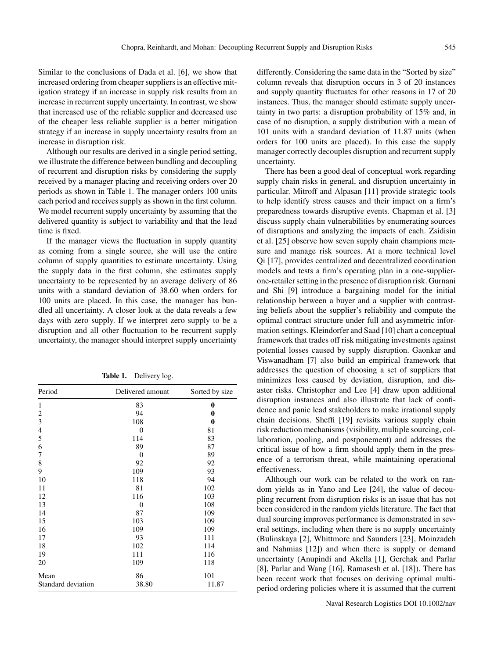Similar to the conclusions of Dada et al. [6], we show that increased ordering from cheaper suppliers is an effective mitigation strategy if an increase in supply risk results from an increase in recurrent supply uncertainty. In contrast, we show that increased use of the reliable supplier and decreased use of the cheaper less reliable supplier is a better mitigation strategy if an increase in supply uncertainty results from an increase in disruption risk.

Although our results are derived in a single period setting, we illustrate the difference between bundling and decoupling of recurrent and disruption risks by considering the supply received by a manager placing and receiving orders over 20 periods as shown in Table 1. The manager orders 100 units each period and receives supply as shown in the first column. We model recurrent supply uncertainty by assuming that the delivered quantity is subject to variability and that the lead time is fixed.

If the manager views the fluctuation in supply quantity as coming from a single source, she will use the entire column of supply quantities to estimate uncertainty. Using the supply data in the first column, she estimates supply uncertainty to be represented by an average delivery of 86 units with a standard deviation of 38.60 when orders for 100 units are placed. In this case, the manager has bundled all uncertainty. A closer look at the data reveals a few days with zero supply. If we interpret zero supply to be a disruption and all other fluctuation to be recurrent supply uncertainty, the manager should interpret supply uncertainty

| Period             | Delivered amount | Sorted by size |
|--------------------|------------------|----------------|
| 1                  | 83               | 0              |
| 2                  | 94               | 0              |
| 3                  | 108              | 0              |
| $\overline{4}$     | $\theta$         | 81             |
| 5                  | 114              | 83             |
| 6                  | 89               | 87             |
| 7                  | $\theta$         | 89             |
| 8                  | 92               | 92             |
| 9                  | 109              | 93             |
| 10                 | 118              | 94             |
| 11                 | 81               | 102            |
| 12                 | 116              | 103            |
| 13                 | 0                | 108            |
| 14                 | 87               | 109            |
| 15                 | 103              | 109            |
| 16                 | 109              | 109            |
| 17                 | 93               | 111            |
| 18                 | 102              | 114            |
| 19                 | 111              | 116            |
| 20                 | 109              | 118            |
| Mean               | 86               | 101            |
| Standard deviation | 38.80            | 11.87          |

**Table 1.** Delivery log.

differently. Considering the same data in the "Sorted by size" column reveals that disruption occurs in 3 of 20 instances and supply quantity fluctuates for other reasons in 17 of 20 instances. Thus, the manager should estimate supply uncertainty in two parts: a disruption probability of 15% and, in case of no disruption, a supply distribution with a mean of 101 units with a standard deviation of 11.87 units (when orders for 100 units are placed). In this case the supply manager correctly decouples disruption and recurrent supply uncertainty.

There has been a good deal of conceptual work regarding supply chain risks in general, and disruption uncertainty in particular. Mitroff and Alpasan [11] provide strategic tools to help identify stress causes and their impact on a firm's preparedness towards disruptive events. Chapman et al. [3] discuss supply chain vulnerabilities by enumerating sources of disruptions and analyzing the impacts of each. Zsidisin et al. [25] observe how seven supply chain champions measure and manage risk sources. At a more technical level Qi [17], provides centralized and decentralized coordination models and tests a firm's operating plan in a one-supplierone-retailer setting in the presence of disruption risk. Gurnani and Shi [9] introduce a bargaining model for the initial relationship between a buyer and a supplier with contrasting beliefs about the supplier's reliability and compute the optimal contract structure under full and asymmetric information settings. Kleindorfer and Saad [10] chart a conceptual framework that trades off risk mitigating investments against potential losses caused by supply disruption. Gaonkar and Viswanadham [7] also build an empirical framework that addresses the question of choosing a set of suppliers that minimizes loss caused by deviation, disruption, and disaster risks. Christopher and Lee [4] draw upon additional disruption instances and also illustrate that lack of confidence and panic lead stakeholders to make irrational supply chain decisions. Sheffi [19] revisits various supply chain risk reduction mechanisms (visibility, multiple sourcing, collaboration, pooling, and postponement) and addresses the critical issue of how a firm should apply them in the presence of a terrorism threat, while maintaining operational effectiveness.

Although our work can be related to the work on random yields as in Yano and Lee [24], the value of decoupling recurrent from disruption risks is an issue that has not been considered in the random yields literature. The fact that dual sourcing improves performance is demonstrated in several settings, including when there is no supply uncertainty (Bulinskaya [2], Whittmore and Saunders [23], Moinzadeh and Nahmias [12]) and when there is supply or demand uncertainty (Anupindi and Akella [1], Gerchak and Parlar [8], Parlar and Wang [16], Ramasesh et al. [18]). There has been recent work that focuses on deriving optimal multiperiod ordering policies where it is assumed that the current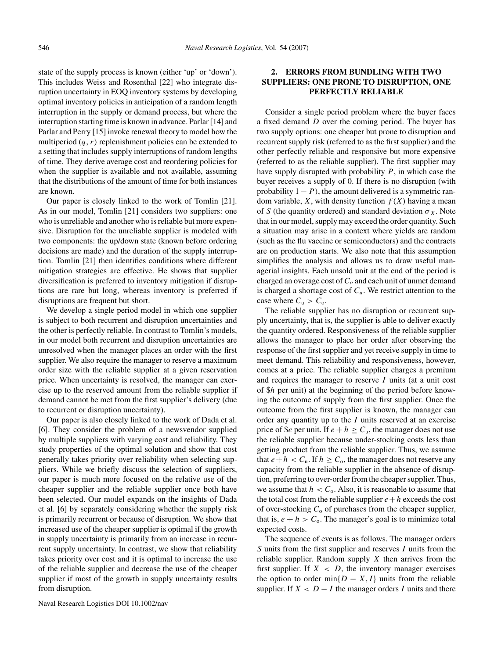state of the supply process is known (either 'up' or 'down'). This includes Weiss and Rosenthal [22] who integrate disruption uncertainty in EOQ inventory systems by developing optimal inventory policies in anticipation of a random length interruption in the supply or demand process, but where the interruption starting time is known in advance. Parlar [14] and Parlar and Perry [15] invoke renewal theory to model how the multiperiod  $(q, r)$  replenishment policies can be extended to a setting that includes supply interruptions of random lengths of time. They derive average cost and reordering policies for when the supplier is available and not available, assuming that the distributions of the amount of time for both instances are known.

Our paper is closely linked to the work of Tomlin [21]. As in our model, Tomlin [21] considers two suppliers: one who is unreliable and another who is reliable but more expensive. Disruption for the unreliable supplier is modeled with two components: the up/down state (known before ordering decisions are made) and the duration of the supply interruption. Tomlin [21] then identifies conditions where different mitigation strategies are effective. He shows that supplier diversification is preferred to inventory mitigation if disruptions are rare but long, whereas inventory is preferred if disruptions are frequent but short.

We develop a single period model in which one supplier is subject to both recurrent and disruption uncertainties and the other is perfectly reliable. In contrast to Tomlin's models, in our model both recurrent and disruption uncertainties are unresolved when the manager places an order with the first supplier. We also require the manager to reserve a maximum order size with the reliable supplier at a given reservation price. When uncertainty is resolved, the manager can exercise up to the reserved amount from the reliable supplier if demand cannot be met from the first supplier's delivery (due to recurrent or disruption uncertainty).

Our paper is also closely linked to the work of Dada et al. [6]. They consider the problem of a newsvendor supplied by multiple suppliers with varying cost and reliability. They study properties of the optimal solution and show that cost generally takes priority over reliability when selecting suppliers. While we briefly discuss the selection of suppliers, our paper is much more focused on the relative use of the cheaper supplier and the reliable supplier once both have been selected. Our model expands on the insights of Dada et al. [6] by separately considering whether the supply risk is primarily recurrent or because of disruption. We show that increased use of the cheaper supplier is optimal if the growth in supply uncertainty is primarily from an increase in recurrent supply uncertainty. In contrast, we show that reliability takes priority over cost and it is optimal to increase the use of the reliable supplier and decrease the use of the cheaper supplier if most of the growth in supply uncertainty results from disruption.

### **2. ERRORS FROM BUNDLING WITH TWO SUPPLIERS: ONE PRONE TO DISRUPTION, ONE PERFECTLY RELIABLE**

Consider a single period problem where the buyer faces a fixed demand  $D$  over the coming period. The buyer has two supply options: one cheaper but prone to disruption and recurrent supply risk (referred to as the first supplier) and the other perfectly reliable and responsive but more expensive (referred to as the reliable supplier). The first supplier may have supply disrupted with probability  $P$ , in which case the buyer receives a supply of 0. If there is no disruption (with probability  $1 - P$ ), the amount delivered is a symmetric random variable, X, with density function  $f(X)$  having a mean of S (the quantity ordered) and standard deviation  $\sigma_X$ . Note that in our model, supply may exceed the order quantity. Such a situation may arise in a context where yields are random (such as the flu vaccine or semiconductors) and the contracts are on production starts. We also note that this assumption simplifies the analysis and allows us to draw useful managerial insights. Each unsold unit at the end of the period is charged an overage cost of  $C<sub>o</sub>$  and each unit of unmet demand is charged a shortage cost of  $C_u$ . We restrict attention to the case where  $C_{\rm u} > C_{\rm o}$ .

The reliable supplier has no disruption or recurrent supply uncertainty, that is, the supplier is able to deliver exactly the quantity ordered. Responsiveness of the reliable supplier allows the manager to place her order after observing the response of the first supplier and yet receive supply in time to meet demand. This reliability and responsiveness, however, comes at a price. The reliable supplier charges a premium and requires the manager to reserve  $I$  units (at a unit cost of \$h per unit) at the beginning of the period before knowing the outcome of supply from the first supplier. Once the outcome from the first supplier is known, the manager can order any quantity up to the  $I$  units reserved at an exercise price of \$*e* per unit. If  $e + h \ge C_u$ , the manager does not use the reliable supplier because under-stocking costs less than getting product from the reliable supplier. Thus, we assume that  $e + h < C_u$ . If  $h \geq C_o$ , the manager does not reserve any capacity from the reliable supplier in the absence of disruption, preferring to over-order from the cheaper supplier. Thus, we assume that  $h < C_0$ . Also, it is reasonable to assume that the total cost from the reliable supplier  $e+h$  exceeds the cost of over-stocking  $C_0$  of purchases from the cheaper supplier, that is,  $e + h > C_0$ . The manager's goal is to minimize total expected costs.

The sequence of events is as follows. The manager orders  $S$  units from the first supplier and reserves  $I$  units from the reliable supplier. Random supply  $X$  then arrives from the first supplier. If  $X < D$ , the inventory manager exercises the option to order min $\{D - X, I\}$  units from the reliable supplier. If  $X < D - I$  the manager orders I units and there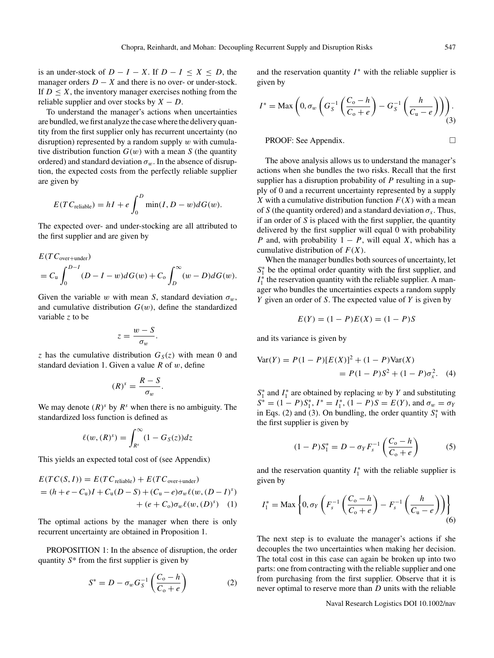is an under-stock of  $D - I - X$ . If  $D - I \le X \le D$ , the manager orders  $D - X$  and there is no over- or under-stock. If  $D \leq X$ , the inventory manager exercises nothing from the reliable supplier and over stocks by  $X - D$ .

To understand the manager's actions when uncertainties are bundled, we first analyze the case where the delivery quantity from the first supplier only has recurrent uncertainty (no disruption) represented by a random supply  $w$  with cumulative distribution function  $G(w)$  with a mean S (the quantity ordered) and standard deviation  $\sigma_w$ . In the absence of disruption, the expected costs from the perfectly reliable supplier are given by

$$
E(T C_{\text{reliable}}) = hI + e \int_0^D \min(I, D - w) dG(w).
$$

The expected over- and under-stocking are all attributed to the first supplier and are given by

$$
E(TC_{\text{over+under}})
$$
  
=  $C_{\text{u}} \int_0^{D-I} (D-I-w)dG(w) + C_{\text{o}} \int_D^{\infty} (w-D)dG(w).$ 

Given the variable w with mean S, standard deviation  $\sigma_w$ , and cumulative distribution  $G(w)$ , define the standardized variable z to be

$$
z=\frac{w-S}{\sigma_w}.
$$

z has the cumulative distribution  $G_S(z)$  with mean 0 and standard deviation 1. Given a value  $R$  of  $w$ , define

$$
(R)^s = \frac{R-S}{\sigma_w}.
$$

We may denote  $(R)^s$  by  $R^s$  when there is no ambiguity. The standardized loss function is defined as

$$
\ell(w,(R)^s) = \int_{R^s}^{\infty} (1 - G_S(z)) dz
$$

This yields an expected total cost of (see Appendix)

$$
E(TC(S, I)) = E(TC_{\text{reliable}}) + E(TC_{\text{over+under}})
$$
  
=  $(h + e - C_u)I + C_u(D - S) + (C_u - e)\sigma_w \ell(w, (D - I)^s)$   
+  $(e + C_o)\sigma_w \ell(w, (D)^s)$  (1)

The optimal actions by the manager when there is only recurrent uncertainty are obtained in Proposition 1.

PROPOSITION 1: In the absence of disruption, the order quantity  $S^*$  from the first supplier is given by

$$
S^* = D - \sigma_w G_S^{-1} \left( \frac{C_o - h}{C_o + e} \right) \tag{2}
$$

and the reservation quantity  $I^*$  with the reliable supplier is given by

$$
I^* = \text{Max}\left(0, \sigma_w \left(G_S^{-1}\left(\frac{C_o - h}{C_o + e}\right) - G_S^{-1}\left(\frac{h}{C_u - e}\right)\right)\right). \tag{3}
$$

PROOF: See Appendix. □

The above analysis allows us to understand the manager's actions when she bundles the two risks. Recall that the first supplier has a disruption probability of  $P$  resulting in a supply of 0 and a recurrent uncertainty represented by a supply X with a cumulative distribution function  $F(X)$  with a mean of S (the quantity ordered) and a standard deviation  $\sigma_x$ . Thus, if an order of  $S$  is placed with the first supplier, the quantity delivered by the first supplier will equal 0 with probability P and, with probability  $1 - P$ , will equal X, which has a cumulative distribution of  $F(X)$ .

When the manager bundles both sources of uncertainty, let  $S_1^*$  be the optimal order quantity with the first supplier, and  $I_1^*$  the reservation quantity with the reliable supplier. A manager who bundles the uncertainties expects a random supply Y given an order of S. The expected value of Y is given by

$$
E(Y) = (1 - P)E(X) = (1 - P)S
$$

and its variance is given by

$$
Var(Y) = P(1 - P)[E(X)]^{2} + (1 - P)Var(X)
$$
  
= P(1 - P)S<sup>2</sup> + (1 - P)\sigma<sub>x</sub><sup>2</sup>. (4)

 $S_1^*$  and  $I_1^*$  are obtained by replacing w by Y and substituting  $S^* = (1 - P)S_1^*, I^* = I_1^*, (1 - P)S = E(Y)$ , and  $\sigma_w = \sigma_Y$ in Eqs. (2) and (3). On bundling, the order quantity  $S_1^*$  with the first supplier is given by

$$
(1 - P)S_1^* = D - \sigma_Y F_s^{-1} \left( \frac{C_o - h}{C_o + e} \right) \tag{5}
$$

and the reservation quantity  $I_1^*$  with the reliable supplier is given by

$$
I_1^* = \text{Max} \left\{ 0, \sigma_Y \left( F_s^{-1} \left( \frac{C_0 - h}{C_0 + e} \right) - F_s^{-1} \left( \frac{h}{C_0 - e} \right) \right) \right\}
$$
(6)

The next step is to evaluate the manager's actions if she decouples the two uncertainties when making her decision. The total cost in this case can again be broken up into two parts: one from contracting with the reliable supplier and one from purchasing from the first supplier. Observe that it is never optimal to reserve more than  $D$  units with the reliable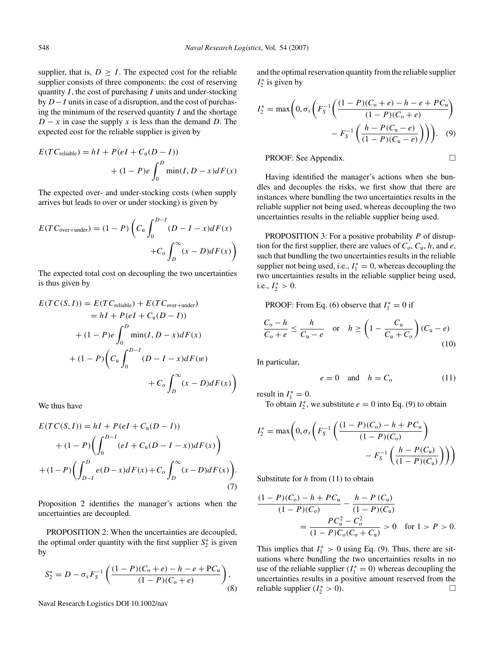supplier, that is,  $D \geq I$ . The expected cost for the reliable supplier consists of three components: the cost of reserving quantity  $I$ , the cost of purchasing  $I$  units and under-stocking by D−I units in case of a disruption, and the cost of purchasing the minimum of the reserved quantity  $I$  and the shortage  $D - x$  in case the supply x is less than the demand D. The expected cost for the reliable supplier is given by

$$
E(T C_{\text{reliable}}) = hI + P(eI + C_{\text{u}}(D - I))
$$

$$
+ (1 - P)e \int_0^D \min(I, D - x) dF(x)
$$

The expected over- and under-stocking costs (when supply arrives but leads to over or under stocking) is given by

$$
E(TC_{\text{over+under}}) = (1 - P) \left( C_{\text{u}} \int_0^{D-I} (D - I - x) dF(x) + C_0 \int_D^{\infty} (x - D) dF(x) \right)
$$

The expected total cost on decoupling the two uncertainties is thus given by

$$
E(TC(S, I)) = E(TC_{\text{reliable}}) + E(TC_{\text{over+under}})
$$
  
= hI + P(eI + C<sub>u</sub>(D – I))  
+ (1 – P)e  $\int_0^D \min(I, D - x)dF(x)$   
+ (1 – P)  $\left(C_u \int_0^{D-I} (D - I - x)dF(w) + C_o \int_D^{\infty} (x - D)dF(x)\right)$ 

We thus have

$$
E(TC(S, I)) = hI + P(eI + C_u(D - I))
$$
  
+ 
$$
(1 - P) \left( \int_0^{D - I} (eI + C_u(D - I - x)) dF(x) \right)
$$
  
+ 
$$
(1 - P) \left( \int_{D - I}^D e(D - x) dF(x) + C_0 \int_D^{\infty} (x - D) dF(x) \right).
$$
  
(7)

Proposition 2 identifies the manager's actions when the uncertainties are decoupled.

PROPOSITION 2: When the uncertainties are decoupled, the optimal order quantity with the first supplier  $S_2^*$  is given by

$$
S_2^* = D - \sigma_x F_S^{-1} \left( \frac{(1 - P)(C_0 + e) - h - e + PC_u}{(1 - P)(C_0 + e)} \right),\tag{8}
$$

Naval Research Logistics DOI 10.1002/nav

and the optimal reservation quantity from the reliable supplier  $I_2^*$  is given by

$$
I_2^* = \max\left(0, \sigma_x \left( F_S^{-1} \left( \frac{(1 - P)(C_0 + e) - h - e + PC_u}{(1 - P)(C_0 + e)} \right) - F_S^{-1} \left( \frac{h - P(C_0 - e)}{(1 - P)(C_0 - e)} \right) \right) \right).
$$
 (9)

PROOF: See Appendix. □

Having identified the manager's actions when she bundles and decouples the risks, we first show that there are instances where bundling the two uncertainties results in the reliable supplier not being used, whereas decoupling the two uncertainties results in the reliable supplier being used.

**PROPOSITION** 3: For a positive probability  $P$  of disruption for the first supplier, there are values of  $C_0$ ,  $C_u$ , h, and e, such that bundling the two uncertainties results in the reliable supplier not being used, i.e.,  $I_1^* = 0$ , whereas decoupling the two uncertainties results in the reliable supplier being used, i.e.,  $I_2^* > 0$ .

PROOF: From Eq. (6) observe that  $I_1^* = 0$  if

$$
\frac{C_{\text{o}} - h}{C_{\text{o}} + e} \le \frac{h}{C_{\text{u}} - e} \quad \text{or} \quad h \ge \left(1 - \frac{C_{\text{u}}}{C_{\text{u}} + C_{\text{o}}}\right) (C_{\text{u}} - e) \tag{10}
$$

In particular,

$$
e = 0 \quad \text{and} \quad h = C_0 \tag{11}
$$

result in  $I_1^* = 0$ .

To obtain  $I_2^*$ , we substitute  $e = 0$  into Eq. (9) to obtain

$$
I_2^* = \max\left(0, \sigma_x \left( F_S^{-1} \left( \frac{(1 - P)(C_0) - h + PC_u}{(1 - P)(C_0)} \right) - F_S^{-1} \left( \frac{h - P(C_u)}{(1 - P)(C_u)} \right) \right) \right)
$$

Substitute for  $h$  from (11) to obtain

$$
\frac{(1 - P)(C_0) - h + PC_{\mathrm{u}}}{(1 - P)(C_0)} - \frac{h - P(C_{\mathrm{u}})}{(1 - P)(C_{\mathrm{u}})}
$$
  
= 
$$
\frac{PC_{\mathrm{u}}^2 - C_{\mathrm{o}}^2}{(1 - P)C_0(C_0 + C_{\mathrm{u}})} > 0 \quad \text{for } 1 > P > 0.
$$

This implies that  $I_1^* > 0$  using Eq. (9). Thus, there are situations where bundling the two uncertainties results in no use of the reliable supplier  $(I_1^* = 0)$  whereas decoupling the uncertainties results in a positive amount reserved from the reliable supplier  $(I_2^* > 0)$ .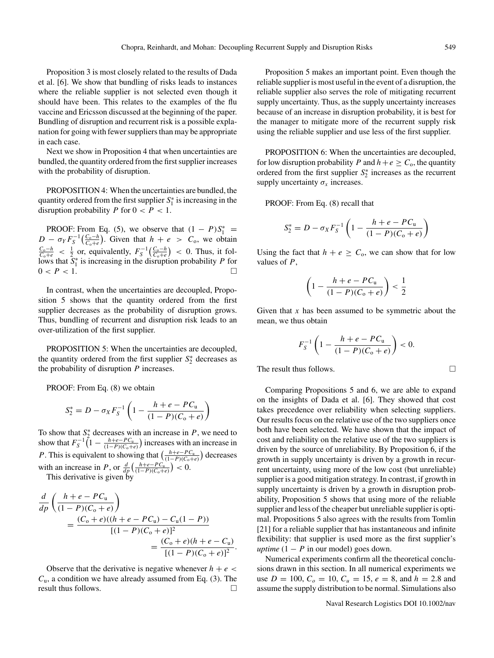Proposition 3 is most closely related to the results of Dada et al. [6]. We show that bundling of risks leads to instances where the reliable supplier is not selected even though it should have been. This relates to the examples of the flu vaccine and Ericsson discussed at the beginning of the paper. Bundling of disruption and recurrent risk is a possible explanation for going with fewer suppliers than may be appropriate in each case.

Next we show in Proposition 4 that when uncertainties are bundled, the quantity ordered from the first supplier increases with the probability of disruption.

PROPOSITION 4: When the uncertainties are bundled, the quantity ordered from the first supplier  $S_1^*$  is increasing in the disruption probability P for  $0 < P < 1$ .

PROOF: From Eq. (5), we observe that  $(1 - P)S_1^* =$  $D - \sigma_Y F_S^{-1}\left(\frac{C_o - h}{C_o + e}\right)$ . Given that  $h + e > C_o$ , we obtain  $\frac{C_{o}-h}{C_{o}+e}$  <  $\frac{1}{2}$  or, equivalently,  $F_S^{-1}(\frac{C_o-h}{C_o+e})$  < 0. Thus, it follows that  $\tilde{S}_1^*$  is increasing in the disruption probability P for  $0 < P < 1$ .

In contrast, when the uncertainties are decoupled, Proposition 5 shows that the quantity ordered from the first supplier decreases as the probability of disruption grows. Thus, bundling of recurrent and disruption risk leads to an over-utilization of the first supplier.

PROPOSITION 5: When the uncertainties are decoupled, the quantity ordered from the first supplier  $S_2^*$  decreases as the probability of disruption  $P$  increases.

PROOF: From Eq. (8) we obtain

$$
S_2^* = D - \sigma_X F_S^{-1} \left( 1 - \frac{h + e - PC_u}{(1 - P)(C_0 + e)} \right)
$$

To show that  $S_2^*$  decreases with an increase in P, we need to show that  $F_S^{-1} (1 - \frac{h + e - PC_u}{(1 - P)(C_0 + e)})$  increases with an increase in *P*. This is equivalent to showing that  $\left(\frac{h+e-P C_u}{(1-P)(C_0+e)}\right)$  decreases with an increase in P, or  $\frac{d}{dp} \left( \frac{h+e-P C_u}{(1-P)(C_0+e)} \right) < 0.$ 

This derivative is given by

$$
\frac{d}{dp} \left( \frac{h+e-PC_{u}}{(1-P)(C_{o}+e)} \right)
$$
\n
$$
= \frac{(C_{o}+e)((h+e-PC_{u})-C_{u}(1-P))}{[(1-P)(C_{o}+e)]^{2}}
$$
\n
$$
= \frac{(C_{o}+e)(h+e-C_{u})}{[(1-P)(C_{o}+e)]^{2}}.
$$

Observe that the derivative is negative whenever  $h + e$  $C_u$ , a condition we have already assumed from Eq. (3). The result thus follows.

Proposition 5 makes an important point. Even though the reliable supplier is most useful in the event of a disruption, the reliable supplier also serves the role of mitigating recurrent supply uncertainty. Thus, as the supply uncertainty increases because of an increase in disruption probability, it is best for the manager to mitigate more of the recurrent supply risk using the reliable supplier and use less of the first supplier.

PROPOSITION 6: When the uncertainties are decoupled, for low disruption probability P and  $h+e \geq C_0$ , the quantity ordered from the first supplier  $S_2^*$  increases as the recurrent supply uncertainty  $\sigma_x$  increases.

PROOF: From Eq. (8) recall that

$$
S_2^* = D - \sigma_X F_S^{-1} \left( 1 - \frac{h + e - PC_u}{(1 - P)(C_0 + e)} \right)
$$

Using the fact that  $h + e \geq C_0$ , we can show that for low values of  $P$ ,

$$
\left(1 - \frac{h + e - PC_{u}}{(1 - P)(C_{o} + e)}\right) < \frac{1}{2}
$$

Given that  $x$  has been assumed to be symmetric about the mean, we thus obtain

$$
F_S^{-1}\left(1-\frac{h+e-PC_{\mathrm{u}}}{(1-P)(C_{\mathrm{o}}+e)}\right)<0.
$$

The result thus follows.

Comparing Propositions 5 and 6, we are able to expand on the insights of Dada et al. [6]. They showed that cost takes precedence over reliability when selecting suppliers. Our results focus on the relative use of the two suppliers once both have been selected. We have shown that the impact of cost and reliability on the relative use of the two suppliers is driven by the source of unreliability. By Proposition 6, if the growth in supply uncertainty is driven by a growth in recurrent uncertainty, using more of the low cost (but unreliable) supplier is a good mitigation strategy. In contrast, if growth in supply uncertainty is driven by a growth in disruption probability, Proposition 5 shows that using more of the reliable supplier and less of the cheaper but unreliable supplier is optimal. Propositions 5 also agrees with the results from Tomlin [21] for a reliable supplier that has instantaneous and infinite flexibility: that supplier is used more as the first supplier's *uptime*  $(1 - P$  in our model) goes down.

Numerical experiments confirm all the theoretical conclusions drawn in this section. In all numerical experiments we use  $D = 100$ ,  $C<sub>o</sub> = 10$ ,  $C<sub>u</sub> = 15$ ,  $e = 8$ , and  $h = 2.8$  and assume the supply distribution to be normal. Simulations also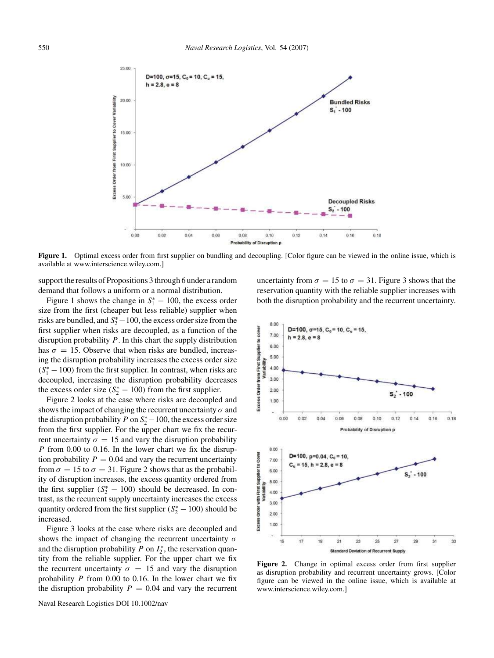

**Figure 1.** Optimal excess order from first supplier on bundling and decoupling. [Color figure can be viewed in the online issue, which is available at www.interscience.wiley.com.]

support the results of Propositions 3 through 6 under a random demand that follows a uniform or a normal distribution.

Figure 1 shows the change in  $S_1^* - 100$ , the excess order size from the first (cheaper but less reliable) supplier when risks are bundled, and  $S_2^*$  – 100, the excess order size from the first supplier when risks are decoupled, as a function of the disruption probability  $P$ . In this chart the supply distribution has  $\sigma = 15$ . Observe that when risks are bundled, increasing the disruption probability increases the excess order size  $(S<sub>1</sub><sup>*</sup> - 100)$  from the first supplier. In contrast, when risks are decoupled, increasing the disruption probability decreases the excess order size  $(S_2^* - 100)$  from the first supplier.

Figure 2 looks at the case where risks are decoupled and shows the impact of changing the recurrent uncertainty  $\sigma$  and the disruption probability P on  $S_2^*$  – 100, the excess order size from the first supplier. For the upper chart we fix the recurrent uncertainty  $\sigma = 15$  and vary the disruption probability P from 0.00 to 0.16. In the lower chart we fix the disruption probability  $P = 0.04$  and vary the recurrent uncertainty from  $\sigma = 15$  to  $\sigma = 31$ . Figure 2 shows that as the probability of disruption increases, the excess quantity ordered from the first supplier  $(S_2^* - 100)$  should be decreased. In contrast, as the recurrent supply uncertainty increases the excess quantity ordered from the first supplier  $(S_2^* - 100)$  should be increased.

Figure 3 looks at the case where risks are decoupled and shows the impact of changing the recurrent uncertainty  $\sigma$ and the disruption probability  $P$  on  $I_2^*$ , the reservation quantity from the reliable supplier. For the upper chart we fix the recurrent uncertainty  $\sigma = 15$  and vary the disruption probability  $P$  from 0.00 to 0.16. In the lower chart we fix the disruption probability  $P = 0.04$  and vary the recurrent uncertainty from  $\sigma = 15$  to  $\sigma = 31$ . Figure 3 shows that the reservation quantity with the reliable supplier increases with both the disruption probability and the recurrent uncertainty.



**Figure 2.** Change in optimal excess order from first supplier as disruption probability and recurrent uncertainty grows. [Color figure can be viewed in the online issue, which is available at www.interscience.wiley.com.]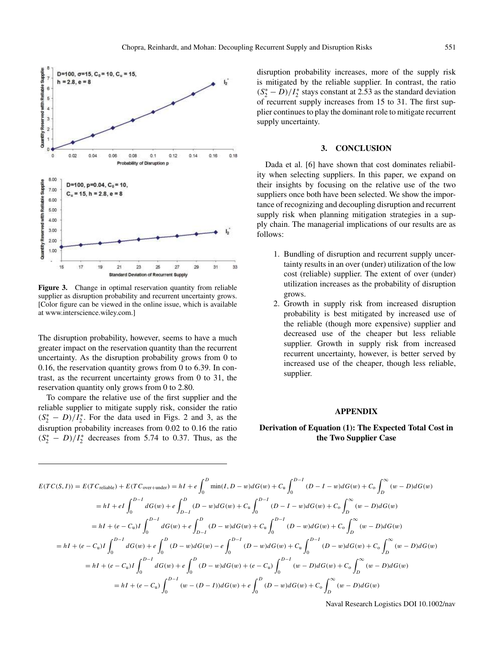



**Figure 3.** Change in optimal reservation quantity from reliable supplier as disruption probability and recurrent uncertainty grows. [Color figure can be viewed in the online issue, which is available at www.interscience.wiley.com.]

The disruption probability, however, seems to have a much greater impact on the reservation quantity than the recurrent uncertainty. As the disruption probability grows from 0 to 0.16, the reservation quantity grows from 0 to 6.39. In contrast, as the recurrent uncertainty grows from 0 to 31, the reservation quantity only grows from 0 to 2.80.

To compare the relative use of the first supplier and the reliable supplier to mitigate supply risk, consider the ratio  $(S_2^* - D)/I_2^*$ . For the data used in Figs. 2 and 3, as the disruption probability increases from 0.02 to 0.16 the ratio  $(S_2^* - D)/I_2^*$  decreases from 5.74 to 0.37. Thus, as the disruption probability increases, more of the supply risk is mitigated by the reliable supplier. In contrast, the ratio  $(S_2^* - D)/I_2^*$  stays constant at 2.53 as the standard deviation of recurrent supply increases from 15 to 31. The first supplier continues to play the dominant role to mitigate recurrent supply uncertainty.

### **3. CONCLUSION**

Dada et al. [6] have shown that cost dominates reliability when selecting suppliers. In this paper, we expand on their insights by focusing on the relative use of the two suppliers once both have been selected. We show the importance of recognizing and decoupling disruption and recurrent supply risk when planning mitigation strategies in a supply chain. The managerial implications of our results are as follows:

- 1. Bundling of disruption and recurrent supply uncertainty results in an over (under) utilization of the low cost (reliable) supplier. The extent of over (under) utilization increases as the probability of disruption grows.
- 2. Growth in supply risk from increased disruption probability is best mitigated by increased use of the reliable (though more expensive) supplier and decreased use of the cheaper but less reliable supplier. Growth in supply risk from increased recurrent uncertainty, however, is better served by increased use of the cheaper, though less reliable, supplier.

#### **APPENDIX**

# **Derivation of Equation (1): The Expected Total Cost in the Two Supplier Case**

$$
E(TC(S, I)) = E(TC_{\text{reliable}}) + E(TC_{\text{over+under}}) = hI + e \int_0^D \min(I, D - w) dG(w) + C_u \int_0^{D-1} (D - I - w) dG(w) + C_o \int_D^{\infty} (w - D) dG(w)
$$
  
\n
$$
= hI + eI \int_0^{D-1} dG(w) + e \int_{D-1}^D (D - w) dG(w) + C_u \int_0^{D-1} (D - I - w) dG(w) + C_o \int_D^{\infty} (w - D) dG(w)
$$
  
\n
$$
= hI + (e - C_u)I \int_0^{D-1} dG(w) + e \int_{D-1}^D (D - w) dG(w) + C_u \int_0^{D-1} (D - w) dG(w) + C_o \int_D^{\infty} (w - D) dG(w)
$$
  
\n
$$
= hI + (e - C_u)I \int_0^{D-1} dG(w) + e \int_0^D (D - w) dG(w) - e \int_0^{D-1} (D - w) dG(w) + C_u \int_0^{D-1} (D - w) dG(w) + C_o \int_D^{\infty} (w - D) dG(w)
$$
  
\n
$$
= hI + (e - C_u)I \int_0^{D-1} dG(w) + e \int_0^D (D - w) dG(w) + (e - C_u) \int_0^{D-1} (w - D) dG(w) + C_o \int_D^{\infty} (w - D) dG(w)
$$
  
\n
$$
= hI + (e - C_u) \int_0^{D-1} (w - (D - I)) dG(w) + e \int_0^D (D - w) dG(w) + C_o \int_D^{\infty} (w - D) dG(w)
$$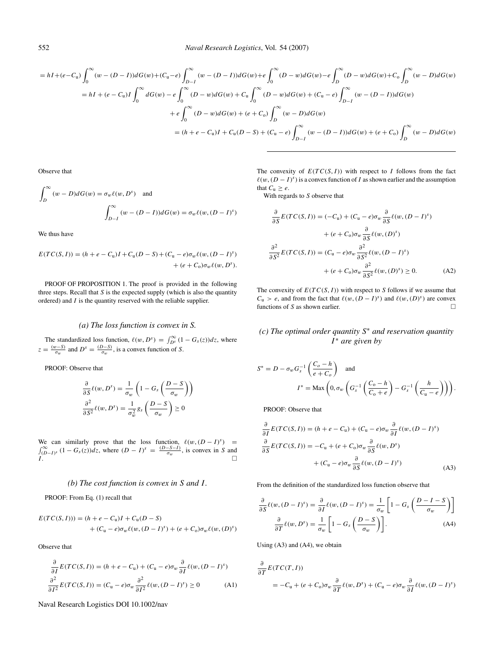$$
= hI + (e - C_u) \int_0^{\infty} (w - (D - I)) dG(w) + (C_u - e) \int_{D - I}^{\infty} (w - (D - I)) dG(w) + e \int_0^{\infty} (D - w) dG(w) - e \int_D^{\infty} (D - w) dG(w) + C_0 \int_D^{\infty} (w - D) dG(w)
$$
  
\n
$$
= hI + (e - C_u)I \int_0^{\infty} dG(w) - e \int_0^{\infty} (D - w) dG(w) + C_u \int_0^{\infty} (D - w) dG(w) + (C_u - e) \int_{D - I}^{\infty} (w - (D - I)) dG(w)
$$
  
\n
$$
+ e \int_0^{\infty} (D - w) dG(w) + (e + C_0) \int_D^{\infty} (w - D) dG(w)
$$
  
\n
$$
= (h + e - C_u)I + C_u(D - S) + (C_u - e) \int_{D - I}^{\infty} (w - (D - I)) dG(w) + (e + C_0) \int_D^{\infty} (w - D) dG(w)
$$

Observe that

$$
\int_{D}^{\infty} (w - D)dG(w) = \sigma_w \ell(w, D^s) \text{ and}
$$

$$
\int_{D-I}^{\infty} (w - (D - I))dG(w) = \sigma_w \ell(w, (D - I)^s)
$$

We thus have

$$
E(TC(S, I)) = (h + e - C_u)I + C_u(D - S) + (C_u - e)\sigma_w \ell(w, (D - I)^s) + (e + C_o)\sigma_w \ell(w, D^s).
$$

PROOF OF PROPOSITION 1. The proof is provided in the following three steps. Recall that  $S$  is the expected supply (which is also the quantity ordered) and  $I$  is the quantity reserved with the reliable supplier.

### *(a) The loss function is convex in S.*

The standardized loss function,  $\ell(w, D^s) = \int_{D^s}^{\infty} (1 - G_s(z)) dz$ , where  $z = \frac{(w-S)}{\sigma_w}$  and  $D^s = \frac{(D-S)}{\sigma_w}$ , is a convex function of S.

PROOF: Observe that

$$
\frac{\partial}{\partial S}\ell(w, D^s) = \frac{1}{\sigma_w} \left( 1 - G_s \left( \frac{D - S}{\sigma_w} \right) \right)
$$

$$
\frac{\partial^2}{\partial S^2} \ell(w, D^s) = \frac{1}{\sigma_w^2} g_s \left( \frac{D - S}{\sigma_w} \right) \ge 0
$$

We can similarly prove that the loss function,  $\ell(w,(D - I)^s) = \int_{(D-I)^s}^{\infty} (1 - G_s(z))dz$ , where  $(D - I)^s = \frac{(D-S-I)}{\sigma_w}$ , is convex in S and  $I.$ 

### *(b) The cost function is convex in* S *and* I *.*

PROOF: From Eq. (1) recall that

$$
E(TC(S, I))) = (h + e - C_u)I + C_u(D - S)
$$
  
+  $(C_u - e)\sigma_w \ell(w, (D - I)^s) + (e + C_o)\sigma_w \ell(w, (D)^s)$ 

Observe that

$$
\frac{\partial}{\partial I}E(TC(S, I)) = (h + e - C_{u}) + (C_{u} - e)\sigma_{w}\frac{\partial}{\partial I}\ell(w, (D - I)^{s})
$$

$$
\frac{\partial^{2}}{\partial I^{2}}E(TC(S, I)) = (C_{u} - e)\sigma_{w}\frac{\partial^{2}}{\partial I^{2}}\ell(w, (D - I)^{s}) \ge 0
$$
(A1)

Naval Research Logistics DOI 10.1002/nav

The convexity of  $E(T C(S, I))$  with respect to I follows from the fact  $\ell(w, (D - I)^s)$  is a convex function of I as shown earlier and the assumption that  $C_u \geq e$ .

With regards to S observe that

$$
\frac{\partial}{\partial S}E(TC(S, I)) = (-C_{u}) + (C_{u} - e)\sigma_{w}\frac{\partial}{\partial S}\ell(w, (D - I)^{s})
$$

$$
+ (e + C_{o})\sigma_{w}\frac{\partial}{\partial S}\ell(w, (D)^{s})
$$

$$
\frac{\partial^{2}}{\partial S^{2}}E(TC(S, I)) = (C_{u} - e)\sigma_{w}\frac{\partial^{2}}{\partial S^{2}}\ell(w, (D - I)^{s})
$$

$$
+ (e + C_{o})\sigma_{w}\frac{\partial^{2}}{\partial S^{2}}\ell(w, (D)^{s}) \ge 0. \tag{A2}
$$

The convexity of  $E(T C(S, I))$  with respect to S follows if we assume that  $C_u > e$ , and from the fact that  $\ell(w, (D - I)^s)$  and  $\ell(w, (D)^s)$  are convex functions of S as shown earlier.  $\Box$ 

# *(c) The optimal order quantity* S <sup>∗</sup> *and reservation quantity* I <sup>∗</sup> *are given by*

$$
S^* = D - \sigma_w G_s^{-1} \left( \frac{C_o - h}{e + C_o} \right) \text{ and}
$$

$$
I^* = \text{Max} \left( 0, \sigma_w \left( G_s^{-1} \left( \frac{C_o - h}{C_o + e} \right) - G_s^{-1} \left( \frac{h}{C_u - e} \right) \right) \right).
$$

PROOF: Observe that

$$
\frac{\partial}{\partial I}E(TC(S, I)) = (h + e - C_{u}) + (C_{u} - e)\sigma_{w}\frac{\partial}{\partial I}\ell(w, (D - I)^{s})
$$

$$
\frac{\partial}{\partial S}E(TC(S, I)) = -C_{u} + (e + C_{0})\sigma_{w}\frac{\partial}{\partial S}\ell(w, D^{s})
$$

$$
+ (C_{u} - e)\sigma_{w}\frac{\partial}{\partial S}\ell(w, (D - I)^{s})
$$
(A3)

From the definition of the standardized loss function observe that

$$
\frac{\partial}{\partial S} \ell(w, (D - I)^s) = \frac{\partial}{\partial I} \ell(w, (D - I)^s) = \frac{1}{\sigma_w} \left[ 1 - G_s \left( \frac{D - I - S}{\sigma_w} \right) \right]
$$

$$
\frac{\partial}{\partial T} \ell(w, D^s) = \frac{1}{\sigma_w} \left[ 1 - G_s \left( \frac{D - S}{\sigma_w} \right) \right].
$$
(A4)

Using (A3) and (A4), we obtain

$$
\frac{\partial}{\partial T} E(TC(T, I))
$$
  
=  $-C_u + (e + C_0)\sigma_w \frac{\partial}{\partial T} \ell(w, D^s) + (C_u - e)\sigma_w \frac{\partial}{\partial T} \ell(w, (D - I)^s)$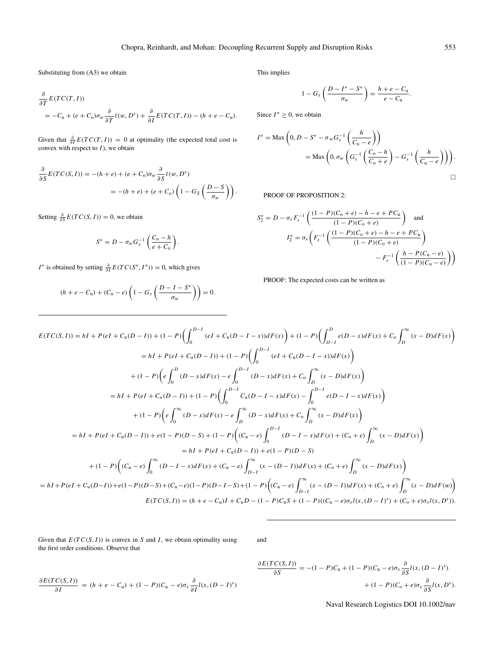Substituting from (A3) we obtain

$$
\frac{\partial}{\partial T} E(TC(T, I))
$$
  
=  $-C_u + (e + C_0)\sigma_w \frac{\partial}{\partial T} \ell(w, D^s) + \frac{\partial}{\partial I} E(TC(T, I)) - (h + e - C_u).$ 

Given that  $\frac{\partial}{\partial I} E(T C(T, I)) = 0$  at optimality (the expected total cost is convex with respect to *I*), we obtain

$$
\frac{\partial}{\partial S}E(TC(S,I)) = -(h+e) + (e + C_0)\sigma_w \frac{\partial}{\partial S} \ell(w, D^s)
$$
  
= -(h+e) + (e + C\_0) \left(1 - G\_S \left(\frac{D-S}{\sigma\_w}\right)\right).

Setting  $\frac{\partial}{\partial S} E(TC(S, I)) = 0$ , we obtain

$$
S^* = D - \sigma_w G_s^{-1} \left( \frac{C_o - h}{e + C_o} \right).
$$

*I*<sup>\*</sup> is obtained by setting  $\frac{\partial}{\partial I} E(T C(S^*, I^*)) = 0$ , which gives

$$
(h + e - C_u) + (C_u - e) \left( 1 - G_s \left( \frac{D - I - S^*}{\sigma_w} \right) \right) = 0.
$$

This implies

$$
1-G_s\left(\frac{D-I^*-S^*}{\sigma_w}\right)=\frac{h+e-C_u}{e-C_u}
$$

Since  $I^* \geq 0$ , we obtain

$$
I^* = \text{Max}\left(0, D - S^* - \sigma_w G_s^{-1}\left(\frac{h}{C_u - e}\right)\right)
$$
  
= Max  $\left(0, \sigma_w \left(G_s^{-1}\left(\frac{C_o - h}{C_o + e}\right) - G_s^{-1}\left(\frac{h}{C_u - e}\right)\right)\right)$ .

PROOF OF PROPOSITION 2:

$$
S_2^* = D - \sigma_x F_s^{-1} \left( \frac{(1 - P)(C_0 + e) - h - e + PC_u}{(1 - P)(C_0 + e)} \right) \text{ and}
$$

$$
I_2^* = \sigma_x \left( F_s^{-1} \left( \frac{(1 - P)(C_0 + e) - h - e + PC_u}{(1 - P)(C_0 + e)} \right) - F_s^{-1} \left( \frac{h - P(C_0 - e)}{(1 - P)(C_0 - e)} \right) \right)
$$

PROOF: The expected costs can be written as

$$
E(TC(S, I)) = hI + P(eI + C_u(D - I)) + (1 - P)\left(\int_0^{D - I} (eI + C_u(D - I - x))dF(x)\right) + (1 - P)\left(\int_{D - I}^D e(D - x)dF(x) + C_o\int_D^{\infty} (x - D)dF(x)\right)
$$
  
\n
$$
= hI + P(eI + C_u(D - I)) + (1 - P)\left(\int_0^{D - I} (eI + C_u(D - I - x))dF(x)\right)
$$
  
\n
$$
+ (1 - P)\left(e\int_0^D (D - x)dF(x) - e\int_0^{D - I} (D - x)dF(x) + C_o\int_D^{\infty} (x - D)dF(x)\right)
$$
  
\n
$$
= hI + P(eI + C_u(D - I)) + (1 - P)\left(\int_0^{D - I} C_u(D - I - x)dF(x) - \int_0^{D - I} e(D - I - x)dF(x)\right)
$$
  
\n
$$
+ (1 - P)\left(e\int_0^{\infty} (D - x)dF(x) - e\int_D^{\infty} (D - x)dF(x) + C_o\int_D^{\infty} (x - D)dF(x)\right)
$$
  
\n
$$
= hI + P(eI + C_u(D - I)) + e(1 - P)(D - S) + (1 - P)\left((C_u - e)\int_0^{D - I} (D - I - x)dF(x) + (C_o + e)\int_D^{\infty} (x - D)dF(x)\right)
$$
  
\n
$$
= hI + P(eI + C_u(D - I)) + e(1 - P)(D - S)
$$
  
\n
$$
+ (1 - P)\left((C_u - e)\int_0^{\infty} (D - I - x)dF(x) + (C_u - e)\int_{D - I}^{\infty} (x - (D - I))dF(x) + (C_o + e)\int_D^{\infty} (x - D)dF(x)\right)
$$
  
\n
$$
= hI + P(eI + C_u(D - I)) + e(1 - P)(D - S) + (C_u - e)(1 - P)(D - I - S) + (1 - P)\left((C_u - e)\int_{D - I}^{\infty} (x - (D - I))dF(x) + (C_o + e)\int_D^{\infty} (x - D)dF(w)\right)
$$
  
\n
$$
E(TC(S, I)) = (h + e - C_u)I + C_uD - (1 - P)(C_u - e
$$

Given that  $E(T C(S, I))$  is convex in S and I, we obtain optimality using the first order conditions. Observe that

and

$$
\frac{\partial E(TC(S, I))}{\partial I} = (h + e - C_{u}) + (1 - P)(C_{u} - e)\sigma_{x} \frac{\partial}{\partial I} l(x, (D - I)^{s})
$$

$$
\frac{\partial E(TC(S,I))}{\partial S} = -(1-P)C_{\mathbf{u}} + (1-P)(C_{\mathbf{u}}-e)\sigma_x \frac{\partial}{\partial S}I(x,(D-I)^s) \n+ (1-P)(C_0+e)\sigma_x \frac{\partial}{\partial S}I(x,D^s).
$$

Naval Research Logistics DOI 10.1002/nav

.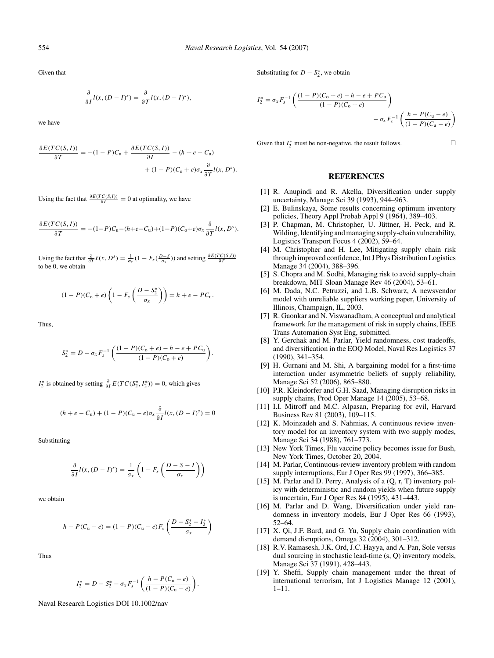Given that

$$
\frac{\partial}{\partial I}l(x,(D-I)^s) = \frac{\partial}{\partial T}l(x,(D-I)^s),
$$

we have

$$
\frac{\partial E(TC(S, I))}{\partial T} = -(1 - P)C_{\mathbf{u}} + \frac{\partial E(TC(S, I))}{\partial I} - (h + e - C_{\mathbf{u}}) + (1 - P)(C_{\mathbf{0}} + e)\sigma_x \frac{\partial}{\partial T}l(x, D^s).
$$

Using the fact that  $\frac{\partial E(TC(S,I))}{\partial I} = 0$  at optimality, we have

$$
\frac{\partial E(TC(S,I))}{\partial T} = -(1-P)C_{\rm u}-(h+e-C_{\rm u})+(1-P)(C_{\rm o}+e)\sigma_x\frac{\partial}{\partial T}l(x,D^s).
$$

Using the fact that  $\frac{\partial}{\partial T}\ell(x, D^s) = \frac{1}{\sigma_x}(1 - F_s(\frac{D-S}{\sigma_x}))$  and setting  $\frac{\partial E(TC(S,I))}{\partial T}$ to be 0, we obtain

$$
(1 - P)(C_0 + e) \left(1 - F_s \left(\frac{D - S_2^*}{\sigma_x}\right)\right) = h + e - PC_0.
$$

Thus,

$$
S_2^* = D - \sigma_x F_s^{-1} \left( \frac{(1 - P)(C_0 + e) - h - e + PC_u}{(1 - P)(C_0 + e)} \right).
$$

 $I_2^*$  is obtained by setting  $\frac{\partial}{\partial I} E(T C(S_2^*, I_2^*)) = 0$ , which gives

$$
(h + e - C_u) + (1 - P)(C_u - e)\sigma_x \frac{\partial}{\partial I} l(x, (D - I)^s) = 0
$$

Substituting

$$
\frac{\partial}{\partial I}l(x,(D-I)^s) = \frac{1}{\sigma_x}\left(1 - F_s\left(\frac{D-S-I}{\sigma_x}\right)\right)
$$

we obtain

$$
h - P(C_{u} - e) = (1 - P)(C_{u} - e)F_{s} \left( \frac{D - S_{2}^{*} - I_{2}^{*}}{\sigma_{x}} \right)
$$

Thus

$$
I_2^* = D - S_2^* - \sigma_x F_s^{-1} \left( \frac{h - P(C_u - e)}{(1 - P)(C_u - e)} \right).
$$

Naval Research Logistics DOI 10.1002/nav

Substituting for  $D - S_2^*$ , we obtain

$$
I_2^* = \sigma_x F_s^{-1} \left( \frac{(1 - P)(C_0 + e) - h - e + PC_u}{(1 - P)(C_0 + e)} \right)
$$

$$
- \sigma_x F_s^{-1} \left( \frac{h - P(C_0 - e)}{(1 - P)(C_0 - e)} \right)
$$

Given that  $I_2^*$  must be non-negative, the result follows.

### **REFERENCES**

- [1] R. Anupindi and R. Akella, Diversification under supply uncertainty, Manage Sci 39 (1993), 944–963.
- [2] E. Bulinskaya, Some results concerning optimum inventory policies, Theory Appl Probab Appl 9 (1964), 389–403.
- [3] P. Chapman, M. Christopher, U. Jüttner, H. Peck, and R. Wilding, Identifying and managing supply-chain vulnerability, Logistics Transport Focus 4 (2002), 59–64.
- [4] M. Christopher and H. Lee, Mitigating supply chain risk through improved confidence, Int J Phys Distribution Logistics Manage 34 (2004), 388–396.
- [5] S. Chopra and M. Sodhi, Managing risk to avoid supply-chain breakdown, MIT Sloan Manage Rev 46 (2004), 53–61.
- [6] M. Dada, N.C. Petruzzi, and L.B. Schwarz, A newsvendor model with unreliable suppliers working paper, University of Illinois, Champaign, IL, 2003.
- [7] R. Gaonkar and N. Viswanadham, A conceptual and analytical framework for the management of risk in supply chains, IEEE Trans Automation Syst Eng, submitted.
- [8] Y. Gerchak and M. Parlar, Yield randomness, cost tradeoffs, and diversification in the EOQ Model, Naval Res Logistics 37 (1990), 341–354.
- [9] H. Gurnani and M. Shi, A bargaining model for a first-time interaction under asymmetric beliefs of supply reliability, Manage Sci 52 (2006), 865–880.
- [10] P.R. Kleindorfer and G.H. Saad, Managing disruption risks in supply chains, Prod Oper Manage 14 (2005), 53–68.
- [11] I.I. Mitroff and M.C. Alpasan, Preparing for evil, Harvard Business Rev 81 (2003), 109–115.
- [12] K. Moinzadeh and S. Nahmias, A continuous review inventory model for an inventory system with two supply modes, Manage Sci 34 (1988), 761–773.
- [13] New York Times, Flu vaccine policy becomes issue for Bush, New York Times, October 20, 2004.
- [14] M. Parlar, Continuous-review inventory problem with random supply interruptions, Eur J Oper Res 99 (1997), 366–385.
- [15] M. Parlar and D. Perry, Analysis of a  $(Q, r, T)$  inventory policy with deterministic and random yields when future supply is uncertain, Eur J Oper Res 84 (1995), 431–443.
- [16] M. Parlar and D. Wang, Diversification under yield randomness in inventory models, Eur J Oper Res 66 (1993), 52–64.
- [17] X. Qi, J.F. Bard, and G. Yu, Supply chain coordination with demand disruptions, Omega 32 (2004), 301–312.
- [18] R.V. Ramasesh, J.K. Ord, J.C. Hayya, and A. Pan, Sole versus dual sourcing in stochastic lead-time (s, Q) inventory models, Manage Sci 37 (1991), 428–443.
- [19] Y. Sheffi, Supply chain management under the threat of international terrorism, Int J Logistics Manage 12 (2001), 1–11.